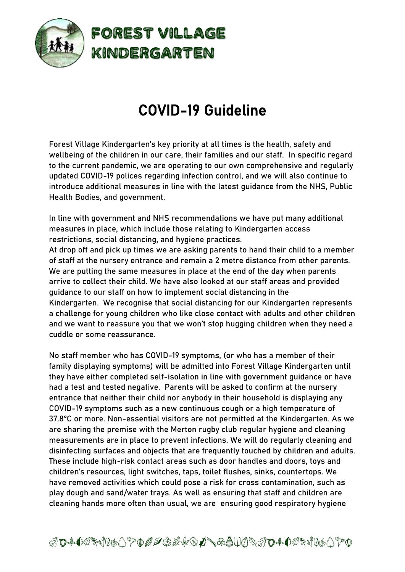

## COVID-19 Guideline

Forest Village Kindergarten's key priority at all times is the health, safety and wellbeing of the children in our care, their families and our staff. In specific regard to the current pandemic, we are operating to our own comprehensive and regularly updated COVID-19 polices regarding infection control, and we will also continue to introduce additional measures in line with the latest guidance from the NHS, Public Health Bodies, and government.

In line with government and NHS recommendations we have put many additional measures in place, which include those relating to Kindergarten access restrictions, social distancing, and hygiene practices.

At drop off and pick up times we are asking parents to hand their child to a member of staff at the nursery entrance and remain a 2 metre distance from other parents. We are putting the same measures in place at the end of the day when parents arrive to collect their child. We have also looked at our staff areas and provided guidance to our staff on how to implement social distancing in the Kindergarten. We recognise that social distancing for our Kindergarten represents a challenge for young children who like close contact with adults and other children and we want to reassure you that we won't stop hugging children when they need a cuddle or some reassurance.

No staff member who has COVID-19 symptoms, (or who has a member of their family displaying symptoms) will be admitted into Forest Village Kindergarten until they have either completed self-isolation in line with government guidance or have had a test and tested negative. Parents will be asked to confirm at the nursery entrance that neither their child nor anybody in their household is displaying any COVID-19 symptoms such as a new continuous cough or a high temperature of 37.8°C or more. Non-essential visitors are not permitted at the Kindergarten. As we are sharing the premise with the Merton rugby club regular hygiene and cleaning measurements are in place to prevent infections. We will do regularly cleaning and disinfecting surfaces and objects that are frequently touched by children and adults. These include high-risk contact areas such as door handles and doors, toys and children's resources, light switches, taps, toilet flushes, sinks, countertops. We have removed activities which could pose a risk for cross contamination, such as play dough and sand/water trays. As well as ensuring that staff and children are cleaning hands more often than usual, we are ensuring good respiratory hygiene

ABCDEFGHIJKLMNOPQRSTVWXYZABCDEFGHIJKL